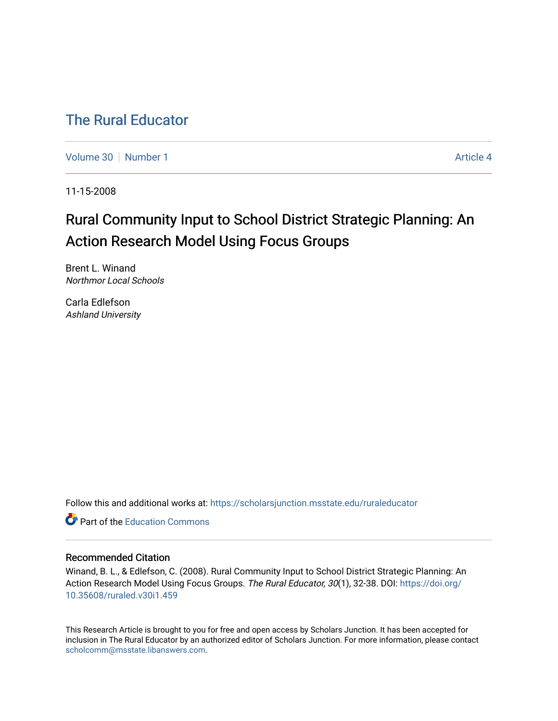## [The Rural Educator](https://scholarsjunction.msstate.edu/ruraleducator)

[Volume 30](https://scholarsjunction.msstate.edu/ruraleducator/vol30) [Number 1](https://scholarsjunction.msstate.edu/ruraleducator/vol30/iss1) Article 4

11-15-2008

# Rural Community Input to School District Strategic Planning: An Action Research Model Using Focus Groups

Brent L. Winand Northmor Local Schools

Carla Edlefson Ashland University

Follow this and additional works at: [https://scholarsjunction.msstate.edu/ruraleducator](https://scholarsjunction.msstate.edu/ruraleducator?utm_source=scholarsjunction.msstate.edu%2Fruraleducator%2Fvol30%2Fiss1%2F4&utm_medium=PDF&utm_campaign=PDFCoverPages)

**C** Part of the [Education Commons](http://network.bepress.com/hgg/discipline/784?utm_source=scholarsjunction.msstate.edu%2Fruraleducator%2Fvol30%2Fiss1%2F4&utm_medium=PDF&utm_campaign=PDFCoverPages)

#### Recommended Citation

Winand, B. L., & Edlefson, C. (2008). Rural Community Input to School District Strategic Planning: An Action Research Model Using Focus Groups. The Rural Educator, 30(1), 32-38. DOI: [https://doi.org/](https://doi.org/10.35608/ruraled.v30i1.459) [10.35608/ruraled.v30i1.459](https://doi.org/10.35608/ruraled.v30i1.459)

This Research Article is brought to you for free and open access by Scholars Junction. It has been accepted for inclusion in The Rural Educator by an authorized editor of Scholars Junction. For more information, please contact [scholcomm@msstate.libanswers.com.](mailto:scholcomm@msstate.libanswers.com)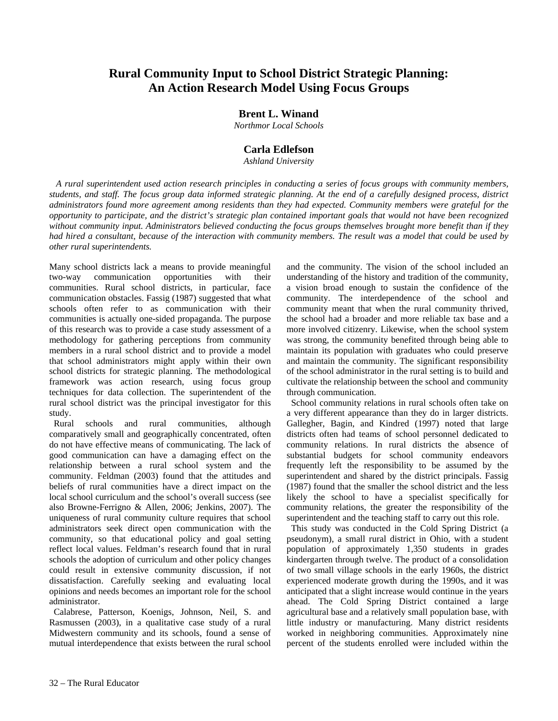### **Rural Community Input to School District Strategic Planning: An Action Research Model Using Focus Groups**

#### **Brent L. Winand**

*Northmor Local Schools* 

#### **Carla Edlefson**

*Ashland University* 

 *A rural superintendent used action research principles in conducting a series of focus groups with community members, students, and staff. The focus group data informed strategic planning. At the end of a carefully designed process, district administrators found more agreement among residents than they had expected. Community members were grateful for the opportunity to participate, and the district's strategic plan contained important goals that would not have been recognized without community input. Administrators believed conducting the focus groups themselves brought more benefit than if they had hired a consultant, because of the interaction with community members. The result was a model that could be used by other rural superintendents.*

Many school districts lack a means to provide meaningful two-way communication opportunities with their communities. Rural school districts, in particular, face communication obstacles. Fassig (1987) suggested that what schools often refer to as communication with their communities is actually one-sided propaganda. The purpose of this research was to provide a case study assessment of a methodology for gathering perceptions from community members in a rural school district and to provide a model that school administrators might apply within their own school districts for strategic planning. The methodological framework was action research, using focus group techniques for data collection. The superintendent of the rural school district was the principal investigator for this study.

 Rural schools and rural communities, although comparatively small and geographically concentrated, often do not have effective means of communicating. The lack of good communication can have a damaging effect on the relationship between a rural school system and the community. Feldman (2003) found that the attitudes and beliefs of rural communities have a direct impact on the local school curriculum and the school's overall success (see also Browne-Ferrigno & Allen, 2006; Jenkins, 2007). The uniqueness of rural community culture requires that school administrators seek direct open communication with the community, so that educational policy and goal setting reflect local values. Feldman's research found that in rural schools the adoption of curriculum and other policy changes could result in extensive community discussion, if not dissatisfaction. Carefully seeking and evaluating local opinions and needs becomes an important role for the school administrator.

 Calabrese, Patterson, Koenigs, Johnson, Neil, S. and Rasmussen (2003), in a qualitative case study of a rural Midwestern community and its schools, found a sense of mutual interdependence that exists between the rural school

and the community. The vision of the school included an understanding of the history and tradition of the community, a vision broad enough to sustain the confidence of the community. The interdependence of the school and community meant that when the rural community thrived, the school had a broader and more reliable tax base and a more involved citizenry. Likewise, when the school system was strong, the community benefited through being able to maintain its population with graduates who could preserve and maintain the community. The significant responsibility of the school administrator in the rural setting is to build and cultivate the relationship between the school and community through communication.

 School community relations in rural schools often take on a very different appearance than they do in larger districts. Gallegher, Bagin, and Kindred (1997) noted that large districts often had teams of school personnel dedicated to community relations. In rural districts the absence of substantial budgets for school community endeavors frequently left the responsibility to be assumed by the superintendent and shared by the district principals. Fassig (1987) found that the smaller the school district and the less likely the school to have a specialist specifically for community relations, the greater the responsibility of the superintendent and the teaching staff to carry out this role.

 This study was conducted in the Cold Spring District (a pseudonym), a small rural district in Ohio, with a student population of approximately 1,350 students in grades kindergarten through twelve. The product of a consolidation of two small village schools in the early 1960s, the district experienced moderate growth during the 1990s, and it was anticipated that a slight increase would continue in the years ahead. The Cold Spring District contained a large agricultural base and a relatively small population base, with little industry or manufacturing. Many district residents worked in neighboring communities. Approximately nine percent of the students enrolled were included within the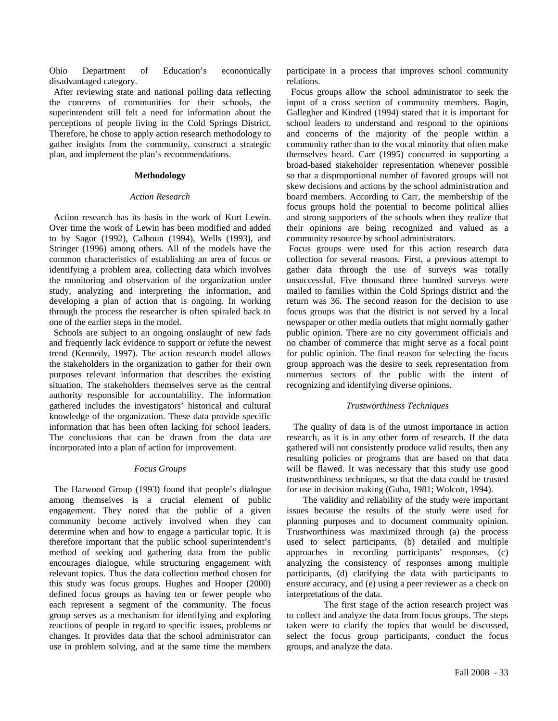Ohio Department of Education's economically disadvantaged category.

 After reviewing state and national polling data reflecting the concerns of communities for their schools, the superintendent still felt a need for information about the perceptions of people living in the Cold Springs District. Therefore, he chose to apply action research methodology to gather insights from the community, construct a strategic plan, and implement the plan's recommendations.

#### **Methodology**

#### *Action Research*

Action research has its basis in the work of Kurt Lewin. Over time the work of Lewin has been modified and added to by Sagor (1992), Calhoun (1994), Wells (1993), and Stringer (1996) among others. All of the models have the common characteristics of establishing an area of focus or identifying a problem area, collecting data which involves the monitoring and observation of the organization under study, analyzing and interpreting the information, and developing a plan of action that is ongoing. In working through the process the researcher is often spiraled back to one of the earlier steps in the model.

 Schools are subject to an ongoing onslaught of new fads and frequently lack evidence to support or refute the newest trend (Kennedy, 1997). The action research model allows the stakeholders in the organization to gather for their own purposes relevant information that describes the existing situation. The stakeholders themselves serve as the central authority responsible for accountability. The information gathered includes the investigators' historical and cultural knowledge of the organization. These data provide specific information that has been often lacking for school leaders. The conclusions that can be drawn from the data are incorporated into a plan of action for improvement.

#### *Focus Groups*

 The Harwood Group (1993) found that people's dialogue among themselves is a crucial element of public engagement. They noted that the public of a given community become actively involved when they can determine when and how to engage a particular topic. It is therefore important that the public school superintendent's method of seeking and gathering data from the public encourages dialogue, while structuring engagement with relevant topics. Thus the data collection method chosen for this study was focus groups. Hughes and Hooper (2000) defined focus groups as having ten or fewer people who each represent a segment of the community. The focus group serves as a mechanism for identifying and exploring reactions of people in regard to specific issues, problems or changes. It provides data that the school administrator can use in problem solving, and at the same time the members

participate in a process that improves school community relations.

 Focus groups allow the school administrator to seek the input of a cross section of community members. Bagin, Gallegher and Kindred (1994) stated that it is important for school leaders to understand and respond to the opinions and concerns of the majority of the people within a community rather than to the vocal minority that often make themselves heard. Carr (1995) concurred in supporting a broad-based stakeholder representation whenever possible so that a disproportional number of favored groups will not skew decisions and actions by the school administration and board members. According to Carr, the membership of the focus groups hold the potential to become political allies and strong supporters of the schools when they realize that their opinions are being recognized and valued as a community resource by school administrators.

 Focus groups were used for this action research data collection for several reasons. First, a previous attempt to gather data through the use of surveys was totally unsuccessful. Five thousand three hundred surveys were mailed to families within the Cold Springs district and the return was 36. The second reason for the decision to use focus groups was that the district is not served by a local newspaper or other media outlets that might normally gather public opinion. There are no city government officials and no chamber of commerce that might serve as a focal point for public opinion. The final reason for selecting the focus group approach was the desire to seek representation from numerous sectors of the public with the intent of recognizing and identifying diverse opinions.

#### *Trustworthiness Techniques*

 The quality of data is of the utmost importance in action research, as it is in any other form of research. If the data gathered will not consistently produce valid results, then any resulting policies or programs that are based on that data will be flawed. It was necessary that this study use good trustworthiness techniques, so that the data could be trusted for use in decision making (Guba, 1981; Wolcott, 1994).

The validity and reliability of the study were important issues because the results of the study were used for planning purposes and to document community opinion. Trustworthiness was maximized through (a) the process used to select participants, (b) detailed and multiple approaches in recording participants' responses, (c) analyzing the consistency of responses among multiple participants, (d) clarifying the data with participants to ensure accuracy, and (e) using a peer reviewer as a check on interpretations of the data.

 The first stage of the action research project was to collect and analyze the data from focus groups. The steps taken were to clarify the topics that would be discussed, select the focus group participants, conduct the focus groups, and analyze the data.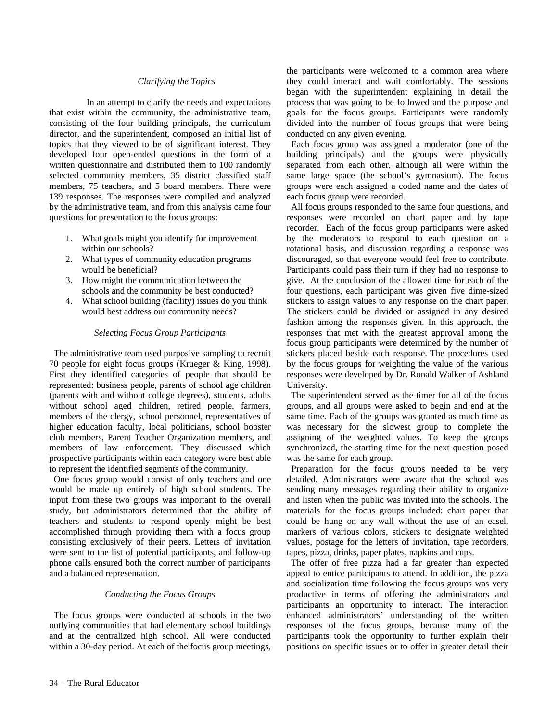#### *Clarifying the Topics*

 In an attempt to clarify the needs and expectations that exist within the community, the administrative team, consisting of the four building principals, the curriculum director, and the superintendent, composed an initial list of topics that they viewed to be of significant interest. They developed four open-ended questions in the form of a written questionnaire and distributed them to 100 randomly selected community members, 35 district classified staff members, 75 teachers, and 5 board members. There were 139 responses. The responses were compiled and analyzed by the administrative team, and from this analysis came four questions for presentation to the focus groups:

- 1. What goals might you identify for improvement within our schools?
- 2. What types of community education programs would be beneficial?
- 3. How might the communication between the schools and the community be best conducted?
- 4. What school building (facility) issues do you think would best address our community needs?

#### *Selecting Focus Group Participants*

 The administrative team used purposive sampling to recruit 70 people for eight focus groups (Krueger & King, 1998). First they identified categories of people that should be represented: business people, parents of school age children (parents with and without college degrees), students, adults without school aged children, retired people, farmers, members of the clergy, school personnel, representatives of higher education faculty, local politicians, school booster club members, Parent Teacher Organization members, and members of law enforcement. They discussed which prospective participants within each category were best able to represent the identified segments of the community.

 One focus group would consist of only teachers and one would be made up entirely of high school students. The input from these two groups was important to the overall study, but administrators determined that the ability of teachers and students to respond openly might be best accomplished through providing them with a focus group consisting exclusively of their peers. Letters of invitation were sent to the list of potential participants, and follow-up phone calls ensured both the correct number of participants and a balanced representation.

#### *Conducting the Focus Groups*

 The focus groups were conducted at schools in the two outlying communities that had elementary school buildings and at the centralized high school. All were conducted within a 30-day period. At each of the focus group meetings, the participants were welcomed to a common area where they could interact and wait comfortably. The sessions began with the superintendent explaining in detail the process that was going to be followed and the purpose and goals for the focus groups. Participants were randomly divided into the number of focus groups that were being conducted on any given evening.

 Each focus group was assigned a moderator (one of the building principals) and the groups were physically separated from each other, although all were within the same large space (the school's gymnasium). The focus groups were each assigned a coded name and the dates of each focus group were recorded.

 All focus groups responded to the same four questions, and responses were recorded on chart paper and by tape recorder. Each of the focus group participants were asked by the moderators to respond to each question on a rotational basis, and discussion regarding a response was discouraged, so that everyone would feel free to contribute. Participants could pass their turn if they had no response to give. At the conclusion of the allowed time for each of the four questions, each participant was given five dime-sized stickers to assign values to any response on the chart paper. The stickers could be divided or assigned in any desired fashion among the responses given. In this approach, the responses that met with the greatest approval among the focus group participants were determined by the number of stickers placed beside each response. The procedures used by the focus groups for weighting the value of the various responses were developed by Dr. Ronald Walker of Ashland University.

 The superintendent served as the timer for all of the focus groups, and all groups were asked to begin and end at the same time. Each of the groups was granted as much time as was necessary for the slowest group to complete the assigning of the weighted values. To keep the groups synchronized, the starting time for the next question posed was the same for each group.

 Preparation for the focus groups needed to be very detailed. Administrators were aware that the school was sending many messages regarding their ability to organize and listen when the public was invited into the schools. The materials for the focus groups included: chart paper that could be hung on any wall without the use of an easel, markers of various colors, stickers to designate weighted values, postage for the letters of invitation, tape recorders, tapes, pizza, drinks, paper plates, napkins and cups.

 The offer of free pizza had a far greater than expected appeal to entice participants to attend. In addition, the pizza and socialization time following the focus groups was very productive in terms of offering the administrators and participants an opportunity to interact. The interaction enhanced administrators' understanding of the written responses of the focus groups, because many of the participants took the opportunity to further explain their positions on specific issues or to offer in greater detail their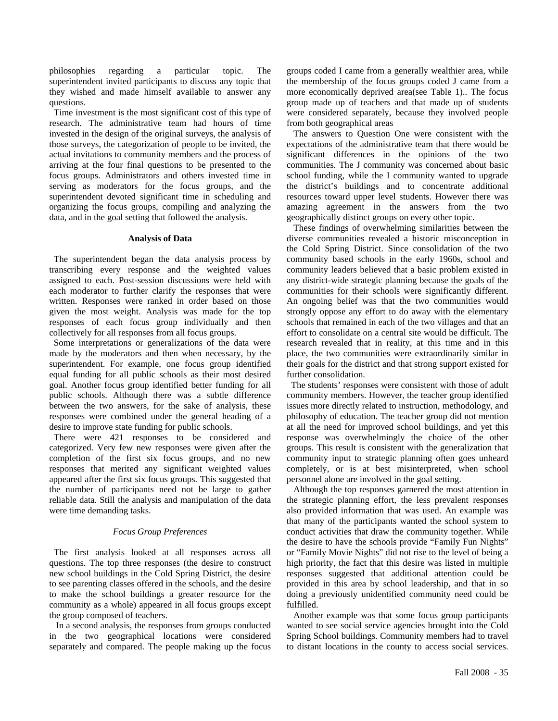philosophies regarding a particular topic. The superintendent invited participants to discuss any topic that they wished and made himself available to answer any questions.

 Time investment is the most significant cost of this type of research. The administrative team had hours of time invested in the design of the original surveys, the analysis of those surveys, the categorization of people to be invited, the actual invitations to community members and the process of arriving at the four final questions to be presented to the focus groups. Administrators and others invested time in serving as moderators for the focus groups, and the superintendent devoted significant time in scheduling and organizing the focus groups, compiling and analyzing the data, and in the goal setting that followed the analysis.

#### **Analysis of Data**

 The superintendent began the data analysis process by transcribing every response and the weighted values assigned to each. Post-session discussions were held with each moderator to further clarify the responses that were written. Responses were ranked in order based on those given the most weight. Analysis was made for the top responses of each focus group individually and then collectively for all responses from all focus groups.

 Some interpretations or generalizations of the data were made by the moderators and then when necessary, by the superintendent. For example, one focus group identified equal funding for all public schools as their most desired goal. Another focus group identified better funding for all public schools. Although there was a subtle difference between the two answers, for the sake of analysis, these responses were combined under the general heading of a desire to improve state funding for public schools.

 There were 421 responses to be considered and categorized. Very few new responses were given after the completion of the first six focus groups, and no new responses that merited any significant weighted values appeared after the first six focus groups. This suggested that the number of participants need not be large to gather reliable data. Still the analysis and manipulation of the data were time demanding tasks.

#### *Focus Group Preferences*

 The first analysis looked at all responses across all questions. The top three responses (the desire to construct new school buildings in the Cold Spring District, the desire to see parenting classes offered in the schools, and the desire to make the school buildings a greater resource for the community as a whole) appeared in all focus groups except the group composed of teachers.

 In a second analysis, the responses from groups conducted in the two geographical locations were considered separately and compared. The people making up the focus groups coded I came from a generally wealthier area, while the membership of the focus groups coded J came from a more economically deprived area(see Table 1).. The focus group made up of teachers and that made up of students were considered separately, because they involved people from both geographical areas

 The answers to Question One were consistent with the expectations of the administrative team that there would be significant differences in the opinions of the two communities. The J community was concerned about basic school funding, while the I community wanted to upgrade the district's buildings and to concentrate additional resources toward upper level students. However there was amazing agreement in the answers from the two geographically distinct groups on every other topic.

 These findings of overwhelming similarities between the diverse communities revealed a historic misconception in the Cold Spring District. Since consolidation of the two community based schools in the early 1960s, school and community leaders believed that a basic problem existed in any district-wide strategic planning because the goals of the communities for their schools were significantly different. An ongoing belief was that the two communities would strongly oppose any effort to do away with the elementary schools that remained in each of the two villages and that an effort to consolidate on a central site would be difficult. The research revealed that in reality, at this time and in this place, the two communities were extraordinarily similar in their goals for the district and that strong support existed for further consolidation.

 The students' responses were consistent with those of adult community members. However, the teacher group identified issues more directly related to instruction, methodology, and philosophy of education. The teacher group did not mention at all the need for improved school buildings, and yet this response was overwhelmingly the choice of the other groups. This result is consistent with the generalization that community input to strategic planning often goes unheard completely, or is at best misinterpreted, when school personnel alone are involved in the goal setting.

 Although the top responses garnered the most attention in the strategic planning effort, the less prevalent responses also provided information that was used. An example was that many of the participants wanted the school system to conduct activities that draw the community together. While the desire to have the schools provide "Family Fun Nights" or "Family Movie Nights" did not rise to the level of being a high priority, the fact that this desire was listed in multiple responses suggested that additional attention could be provided in this area by school leadership, and that in so doing a previously unidentified community need could be fulfilled.

 Another example was that some focus group participants wanted to see social service agencies brought into the Cold Spring School buildings. Community members had to travel to distant locations in the county to access social services.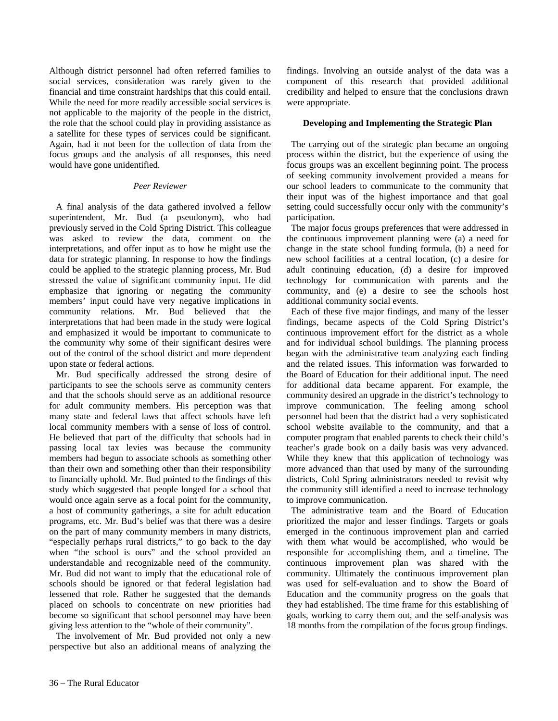Although district personnel had often referred families to social services, consideration was rarely given to the financial and time constraint hardships that this could entail. While the need for more readily accessible social services is not applicable to the majority of the people in the district, the role that the school could play in providing assistance as a satellite for these types of services could be significant. Again, had it not been for the collection of data from the focus groups and the analysis of all responses, this need would have gone unidentified.

#### *Peer Reviewer*

 A final analysis of the data gathered involved a fellow superintendent, Mr. Bud (a pseudonym), who had previously served in the Cold Spring District. This colleague was asked to review the data, comment on the interpretations, and offer input as to how he might use the data for strategic planning. In response to how the findings could be applied to the strategic planning process, Mr. Bud stressed the value of significant community input. He did emphasize that ignoring or negating the community members' input could have very negative implications in community relations. Mr. Bud believed that the interpretations that had been made in the study were logical and emphasized it would be important to communicate to the community why some of their significant desires were out of the control of the school district and more dependent upon state or federal actions.

 Mr. Bud specifically addressed the strong desire of participants to see the schools serve as community centers and that the schools should serve as an additional resource for adult community members. His perception was that many state and federal laws that affect schools have left local community members with a sense of loss of control. He believed that part of the difficulty that schools had in passing local tax levies was because the community members had begun to associate schools as something other than their own and something other than their responsibility to financially uphold. Mr. Bud pointed to the findings of this study which suggested that people longed for a school that would once again serve as a focal point for the community, a host of community gatherings, a site for adult education programs, etc. Mr. Bud's belief was that there was a desire on the part of many community members in many districts, "especially perhaps rural districts," to go back to the day when "the school is ours" and the school provided an understandable and recognizable need of the community. Mr. Bud did not want to imply that the educational role of schools should be ignored or that federal legislation had lessened that role. Rather he suggested that the demands placed on schools to concentrate on new priorities had become so significant that school personnel may have been giving less attention to the "whole of their community".

 The involvement of Mr. Bud provided not only a new perspective but also an additional means of analyzing the findings. Involving an outside analyst of the data was a component of this research that provided additional credibility and helped to ensure that the conclusions drawn were appropriate.

#### **Developing and Implementing the Strategic Plan**

 The carrying out of the strategic plan became an ongoing process within the district, but the experience of using the focus groups was an excellent beginning point. The process of seeking community involvement provided a means for our school leaders to communicate to the community that their input was of the highest importance and that goal setting could successfully occur only with the community's participation.

 The major focus groups preferences that were addressed in the continuous improvement planning were (a) a need for change in the state school funding formula, (b) a need for new school facilities at a central location, (c) a desire for adult continuing education, (d) a desire for improved technology for communication with parents and the community, and (e) a desire to see the schools host additional community social events.

 Each of these five major findings, and many of the lesser findings, became aspects of the Cold Spring District's continuous improvement effort for the district as a whole and for individual school buildings. The planning process began with the administrative team analyzing each finding and the related issues. This information was forwarded to the Board of Education for their additional input. The need for additional data became apparent. For example, the community desired an upgrade in the district's technology to improve communication. The feeling among school personnel had been that the district had a very sophisticated school website available to the community, and that a computer program that enabled parents to check their child's teacher's grade book on a daily basis was very advanced. While they knew that this application of technology was more advanced than that used by many of the surrounding districts, Cold Spring administrators needed to revisit why the community still identified a need to increase technology to improve communication.

 The administrative team and the Board of Education prioritized the major and lesser findings. Targets or goals emerged in the continuous improvement plan and carried with them what would be accomplished, who would be responsible for accomplishing them, and a timeline. The continuous improvement plan was shared with the community. Ultimately the continuous improvement plan was used for self-evaluation and to show the Board of Education and the community progress on the goals that they had established. The time frame for this establishing of goals, working to carry them out, and the self-analysis was 18 months from the compilation of the focus group findings.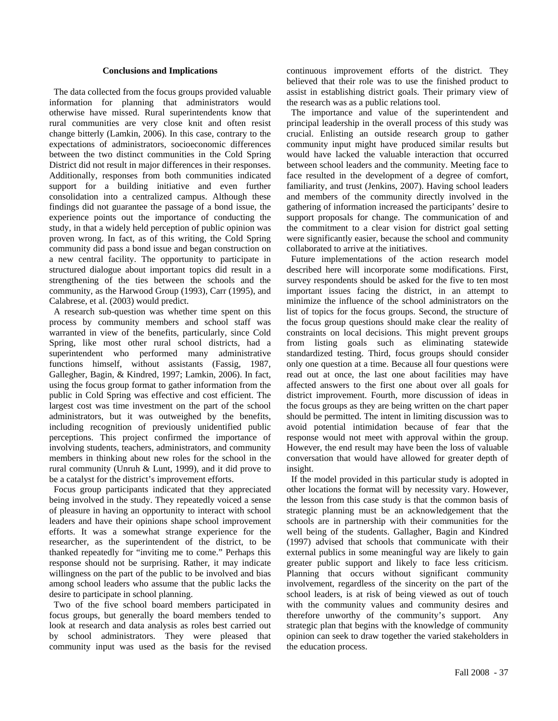#### **Conclusions and Implications**

 The data collected from the focus groups provided valuable information for planning that administrators would otherwise have missed. Rural superintendents know that rural communities are very close knit and often resist change bitterly (Lamkin, 2006). In this case, contrary to the expectations of administrators, socioeconomic differences between the two distinct communities in the Cold Spring District did not result in major differences in their responses. Additionally, responses from both communities indicated support for a building initiative and even further consolidation into a centralized campus. Although these findings did not guarantee the passage of a bond issue, the experience points out the importance of conducting the study, in that a widely held perception of public opinion was proven wrong. In fact, as of this writing, the Cold Spring community did pass a bond issue and began construction on a new central facility. The opportunity to participate in structured dialogue about important topics did result in a strengthening of the ties between the schools and the community, as the Harwood Group (1993), Carr (1995), and Calabrese, et al. (2003) would predict.

 A research sub-question was whether time spent on this process by community members and school staff was warranted in view of the benefits, particularly, since Cold Spring, like most other rural school districts, had a superintendent who performed many administrative functions himself, without assistants (Fassig, 1987, Gallegher, Bagin, & Kindred, 1997; Lamkin, 2006). In fact, using the focus group format to gather information from the public in Cold Spring was effective and cost efficient. The largest cost was time investment on the part of the school administrators, but it was outweighed by the benefits, including recognition of previously unidentified public perceptions. This project confirmed the importance of involving students, teachers, administrators, and community members in thinking about new roles for the school in the rural community (Unruh & Lunt, 1999), and it did prove to be a catalyst for the district's improvement efforts.

 Focus group participants indicated that they appreciated being involved in the study. They repeatedly voiced a sense of pleasure in having an opportunity to interact with school leaders and have their opinions shape school improvement efforts. It was a somewhat strange experience for the researcher, as the superintendent of the district, to be thanked repeatedly for "inviting me to come." Perhaps this response should not be surprising. Rather, it may indicate willingness on the part of the public to be involved and bias among school leaders who assume that the public lacks the desire to participate in school planning.

 Two of the five school board members participated in focus groups, but generally the board members tended to look at research and data analysis as roles best carried out by school administrators. They were pleased that community input was used as the basis for the revised continuous improvement efforts of the district. They believed that their role was to use the finished product to assist in establishing district goals. Their primary view of the research was as a public relations tool.

 The importance and value of the superintendent and principal leadership in the overall process of this study was crucial. Enlisting an outside research group to gather community input might have produced similar results but would have lacked the valuable interaction that occurred between school leaders and the community. Meeting face to face resulted in the development of a degree of comfort, familiarity, and trust (Jenkins, 2007). Having school leaders and members of the community directly involved in the gathering of information increased the participants' desire to support proposals for change. The communication of and the commitment to a clear vision for district goal setting were significantly easier, because the school and community collaborated to arrive at the initiatives.

 Future implementations of the action research model described here will incorporate some modifications. First, survey respondents should be asked for the five to ten most important issues facing the district, in an attempt to minimize the influence of the school administrators on the list of topics for the focus groups. Second, the structure of the focus group questions should make clear the reality of constraints on local decisions. This might prevent groups from listing goals such as eliminating statewide standardized testing. Third, focus groups should consider only one question at a time. Because all four questions were read out at once, the last one about facilities may have affected answers to the first one about over all goals for district improvement. Fourth, more discussion of ideas in the focus groups as they are being written on the chart paper should be permitted. The intent in limiting discussion was to avoid potential intimidation because of fear that the response would not meet with approval within the group. However, the end result may have been the loss of valuable conversation that would have allowed for greater depth of insight.

 If the model provided in this particular study is adopted in other locations the format will by necessity vary. However, the lesson from this case study is that the common basis of strategic planning must be an acknowledgement that the schools are in partnership with their communities for the well being of the students. Gallagher, Bagin and Kindred (1997) advised that schools that communicate with their external publics in some meaningful way are likely to gain greater public support and likely to face less criticism. Planning that occurs without significant community involvement, regardless of the sincerity on the part of the school leaders, is at risk of being viewed as out of touch with the community values and community desires and therefore unworthy of the community's support. Any strategic plan that begins with the knowledge of community opinion can seek to draw together the varied stakeholders in the education process.